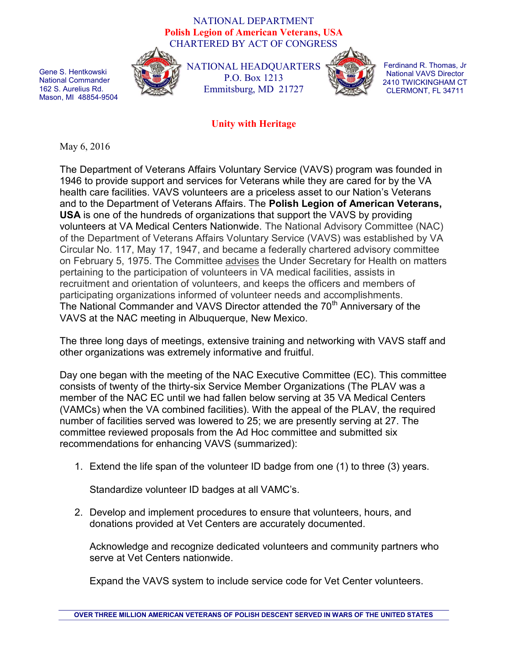## NATIONAL DEPARTMENT Polish Legion of American Veterans, USA CHARTERED BY ACT OF CONGRESS

Gene S. Hentkowski National Commander 162 S. Aurelius Rd. Mason, MI 48854-9504



NATIONAL HEADQUARTERS P.O. Box 1213 Emmitsburg, MD 21727



Ferdinand R. Thomas, Jr National VAVS Director 2410 TWICKINGHAM CT CLERMONT, FL 34711

## Unity with Heritage

May 6, 2016

The Department of Veterans Affairs Voluntary Service (VAVS) program was founded in 1946 to provide support and services for Veterans while they are cared for by the VA health care facilities. VAVS volunteers are a priceless asset to our Nation's Veterans and to the Department of Veterans Affairs. The Polish Legion of American Veterans, USA is one of the hundreds of organizations that support the VAVS by providing volunteers at VA Medical Centers Nationwide. The National Advisory Committee (NAC) of the Department of Veterans Affairs Voluntary Service (VAVS) was established by VA Circular No. 117, May 17, 1947, and became a federally chartered advisory committee on February 5, 1975. The Committee advises the Under Secretary for Health on matters pertaining to the participation of volunteers in VA medical facilities, assists in recruitment and orientation of volunteers, and keeps the officers and members of participating organizations informed of volunteer needs and accomplishments. The National Commander and VAVS Director attended the 70<sup>th</sup> Anniversary of the VAVS at the NAC meeting in Albuquerque, New Mexico.

The three long days of meetings, extensive training and networking with VAVS staff and other organizations was extremely informative and fruitful.

Day one began with the meeting of the NAC Executive Committee (EC). This committee consists of twenty of the thirty-six Service Member Organizations (The PLAV was a member of the NAC EC until we had fallen below serving at 35 VA Medical Centers (VAMCs) when the VA combined facilities). With the appeal of the PLAV, the required number of facilities served was lowered to 25; we are presently serving at 27. The committee reviewed proposals from the Ad Hoc committee and submitted six recommendations for enhancing VAVS (summarized):

1. Extend the life span of the volunteer ID badge from one (1) to three (3) years.

Standardize volunteer ID badges at all VAMC's.

2. Develop and implement procedures to ensure that volunteers, hours, and donations provided at Vet Centers are accurately documented.

Acknowledge and recognize dedicated volunteers and community partners who serve at Vet Centers nationwide.

Expand the VAVS system to include service code for Vet Center volunteers.